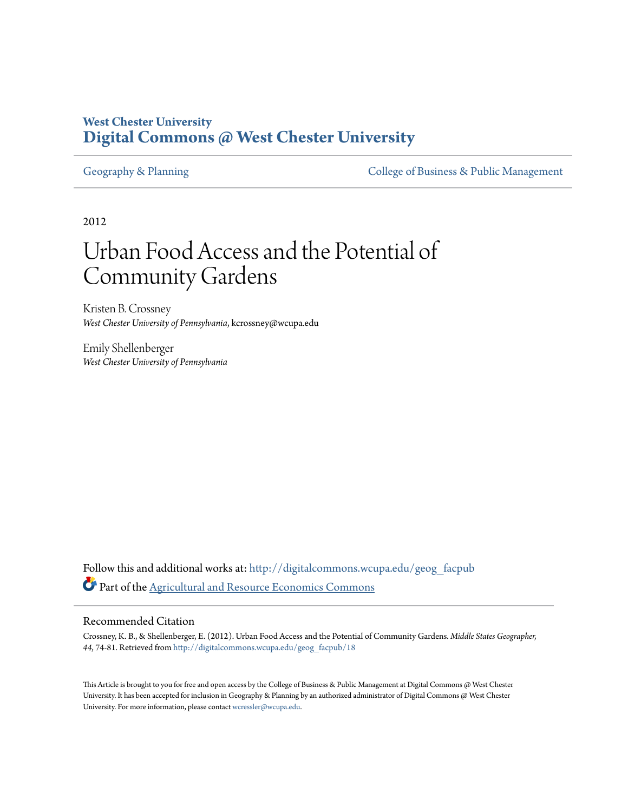# **West Chester University [Digital Commons @ West Chester University](http://digitalcommons.wcupa.edu?utm_source=digitalcommons.wcupa.edu%2Fgeog_facpub%2F18&utm_medium=PDF&utm_campaign=PDFCoverPages)**

[Geography & Planning](http://digitalcommons.wcupa.edu/geog_facpub?utm_source=digitalcommons.wcupa.edu%2Fgeog_facpub%2F18&utm_medium=PDF&utm_campaign=PDFCoverPages) The [College of Business & Public Management](http://digitalcommons.wcupa.edu/cbpa?utm_source=digitalcommons.wcupa.edu%2Fgeog_facpub%2F18&utm_medium=PDF&utm_campaign=PDFCoverPages)

2012

# Urban Food Access and the Potential of Community Gardens

Kristen B. Crossney *West Chester University of Pennsylvania*, kcrossney@wcupa.edu

Emily Shellenberger *West Chester University of Pennsylvania*

Follow this and additional works at: [http://digitalcommons.wcupa.edu/geog\\_facpub](http://digitalcommons.wcupa.edu/geog_facpub?utm_source=digitalcommons.wcupa.edu%2Fgeog_facpub%2F18&utm_medium=PDF&utm_campaign=PDFCoverPages) Part of the [Agricultural and Resource Economics Commons](http://network.bepress.com/hgg/discipline/317?utm_source=digitalcommons.wcupa.edu%2Fgeog_facpub%2F18&utm_medium=PDF&utm_campaign=PDFCoverPages)

#### Recommended Citation

Crossney, K. B., & Shellenberger, E. (2012). Urban Food Access and the Potential of Community Gardens. *Middle States Geographer, 44*, 74-81. Retrieved from [http://digitalcommons.wcupa.edu/geog\\_facpub/18](http://digitalcommons.wcupa.edu/geog_facpub/18?utm_source=digitalcommons.wcupa.edu%2Fgeog_facpub%2F18&utm_medium=PDF&utm_campaign=PDFCoverPages)

This Article is brought to you for free and open access by the College of Business & Public Management at Digital Commons @ West Chester University. It has been accepted for inclusion in Geography & Planning by an authorized administrator of Digital Commons @ West Chester University. For more information, please contact [wcressler@wcupa.edu.](mailto:wcressler@wcupa.edu)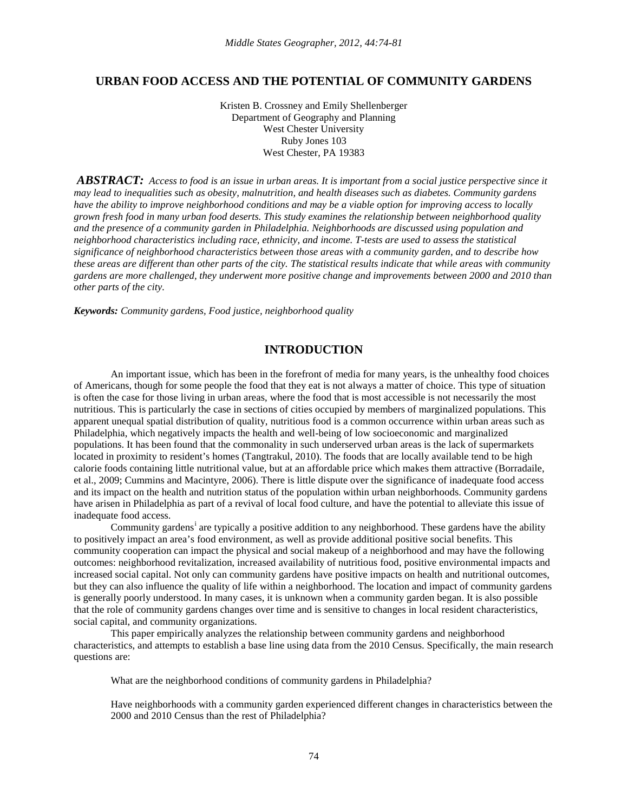# **URBAN FOOD ACCESS AND THE POTENTIAL OF COMMUNITY GARDENS**

Kristen B. Crossney and Emily Shellenberger Department of Geography and Planning West Chester University Ruby Jones 103 West Chester, PA 19383

*ABSTRACT:**Access to food is an issue in urban areas. It is important from a social justice perspective since it may lead to inequalities such as obesity, malnutrition, and health diseases such as diabetes. Community gardens have the ability to improve neighborhood conditions and may be a viable option for improving access to locally grown fresh food in many urban food deserts. This study examines the relationship between neighborhood quality and the presence of a community garden in Philadelphia. Neighborhoods are discussed using population and neighborhood characteristics including race, ethnicity, and income. T-tests are used to assess the statistical significance of neighborhood characteristics between those areas with a community garden, and to describe how these areas are different than other parts of the city. The statistical results indicate that while areas with community gardens are more challenged, they underwent more positive change and improvements between 2000 and 2010 than other parts of the city.*

*Keywords: Community gardens, Food justice, neighborhood quality*

# **INTRODUCTION**

An important issue, which has been in the forefront of media for many years, is the unhealthy food choices of Americans, though for some people the food that they eat is not always a matter of choice. This type of situation is often the case for those living in urban areas, where the food that is most accessible is not necessarily the most nutritious. This is particularly the case in sections of cities occupied by members of marginalized populations. This apparent unequal spatial distribution of quality, nutritious food is a common occurrence within urban areas such as Philadelphia, which negatively impacts the health and well-being of low socioeconomic and marginalized populations. It has been found that the commonality in such underserved urban areas is the lack of supermarkets located in proximity to resident's homes (Tangtrakul, 2010). The foods that are locally available tend to be high calorie foods containing little nutritional value, but at an affordable price which makes them attractive (Borradaile, et al., 2009; Cummins and Macintyre, 2006). There is little dispute over the significance of inadequate food access and its impact on the health and nutrition status of the population within urban neighborhoods. Community gardens have arisen in Philadelphia as part of a revival of local food culture, and have the potential to alleviate this issue of inadequate food access.

Commun[i](#page-8-0)ty gardens<sup>i</sup> are typically a positive addition to any neighborhood. These gardens have the ability to positively impact an area's food environment, as well as provide additional positive social benefits. This community cooperation can impact the physical and social makeup of a neighborhood and may have the following outcomes: neighborhood revitalization, increased availability of nutritious food, positive environmental impacts and increased social capital. Not only can community gardens have positive impacts on health and nutritional outcomes, but they can also influence the quality of life within a neighborhood. The location and impact of community gardens is generally poorly understood. In many cases, it is unknown when a community garden began. It is also possible that the role of community gardens changes over time and is sensitive to changes in local resident characteristics, social capital, and community organizations.

This paper empirically analyzes the relationship between community gardens and neighborhood characteristics, and attempts to establish a base line using data from the 2010 Census. Specifically, the main research questions are:

What are the neighborhood conditions of community gardens in Philadelphia?

Have neighborhoods with a community garden experienced different changes in characteristics between the 2000 and 2010 Census than the rest of Philadelphia?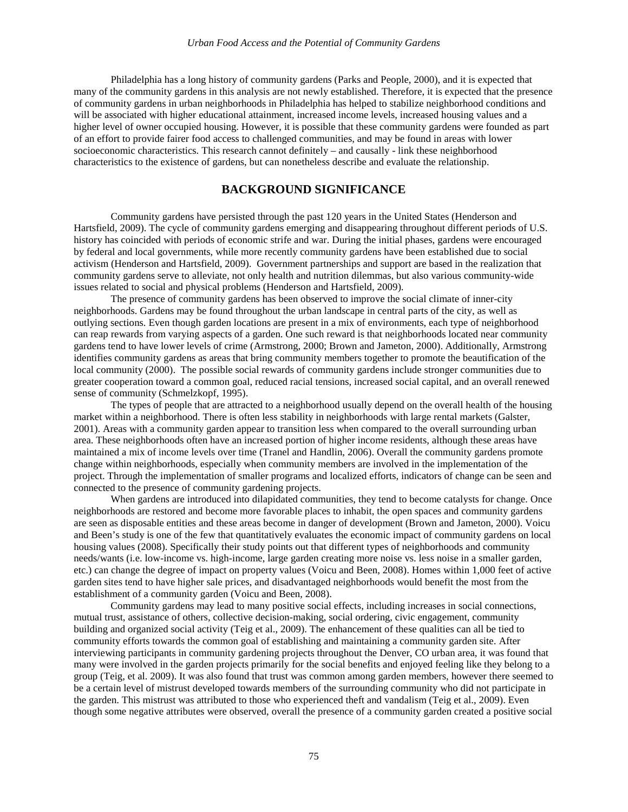Philadelphia has a long history of community gardens (Parks and People, 2000), and it is expected that many of the community gardens in this analysis are not newly established. Therefore, it is expected that the presence of community gardens in urban neighborhoods in Philadelphia has helped to stabilize neighborhood conditions and will be associated with higher educational attainment, increased income levels, increased housing values and a higher level of owner occupied housing. However, it is possible that these community gardens were founded as part of an effort to provide fairer food access to challenged communities, and may be found in areas with lower socioeconomic characteristics. This research cannot definitely – and causally - link these neighborhood characteristics to the existence of gardens, but can nonetheless describe and evaluate the relationship.

## **BACKGROUND SIGNIFICANCE**

Community gardens have persisted through the past 120 years in the United States (Henderson and Hartsfield, 2009). The cycle of community gardens emerging and disappearing throughout different periods of U.S. history has coincided with periods of economic strife and war. During the initial phases, gardens were encouraged by federal and local governments, while more recently community gardens have been established due to social activism (Henderson and Hartsfield, 2009). Government partnerships and support are based in the realization that community gardens serve to alleviate, not only health and nutrition dilemmas, but also various community-wide issues related to social and physical problems (Henderson and Hartsfield, 2009).

The presence of community gardens has been observed to improve the social climate of inner-city neighborhoods. Gardens may be found throughout the urban landscape in central parts of the city, as well as outlying sections. Even though garden locations are present in a mix of environments, each type of neighborhood can reap rewards from varying aspects of a garden. One such reward is that neighborhoods located near community gardens tend to have lower levels of crime (Armstrong, 2000; Brown and Jameton, 2000). Additionally, Armstrong identifies community gardens as areas that bring community members together to promote the beautification of the local community (2000). The possible social rewards of community gardens include stronger communities due to greater cooperation toward a common goal, reduced racial tensions, increased social capital, and an overall renewed sense of community (Schmelzkopf, 1995).

The types of people that are attracted to a neighborhood usually depend on the overall health of the housing market within a neighborhood. There is often less stability in neighborhoods with large rental markets (Galster, 2001). Areas with a community garden appear to transition less when compared to the overall surrounding urban area. These neighborhoods often have an increased portion of higher income residents, although these areas have maintained a mix of income levels over time (Tranel and Handlin, 2006). Overall the community gardens promote change within neighborhoods, especially when community members are involved in the implementation of the project. Through the implementation of smaller programs and localized efforts, indicators of change can be seen and connected to the presence of community gardening projects.

When gardens are introduced into dilapidated communities, they tend to become catalysts for change. Once neighborhoods are restored and become more favorable places to inhabit, the open spaces and community gardens are seen as disposable entities and these areas become in danger of development (Brown and Jameton, 2000). Voicu and Been's study is one of the few that quantitatively evaluates the economic impact of community gardens on local housing values (2008). Specifically their study points out that different types of neighborhoods and community needs/wants (i.e. low-income vs. high-income, large garden creating more noise vs. less noise in a smaller garden, etc.) can change the degree of impact on property values (Voicu and Been, 2008). Homes within 1,000 feet of active garden sites tend to have higher sale prices, and disadvantaged neighborhoods would benefit the most from the establishment of a community garden (Voicu and Been, 2008).

Community gardens may lead to many positive social effects, including increases in social connections, mutual trust, assistance of others, collective decision-making, social ordering, civic engagement, community building and organized social activity (Teig et al., 2009). The enhancement of these qualities can all be tied to community efforts towards the common goal of establishing and maintaining a community garden site. After interviewing participants in community gardening projects throughout the Denver, CO urban area, it was found that many were involved in the garden projects primarily for the social benefits and enjoyed feeling like they belong to a group (Teig, et al. 2009). It was also found that trust was common among garden members, however there seemed to be a certain level of mistrust developed towards members of the surrounding community who did not participate in the garden. This mistrust was attributed to those who experienced theft and vandalism (Teig et al., 2009). Even though some negative attributes were observed, overall the presence of a community garden created a positive social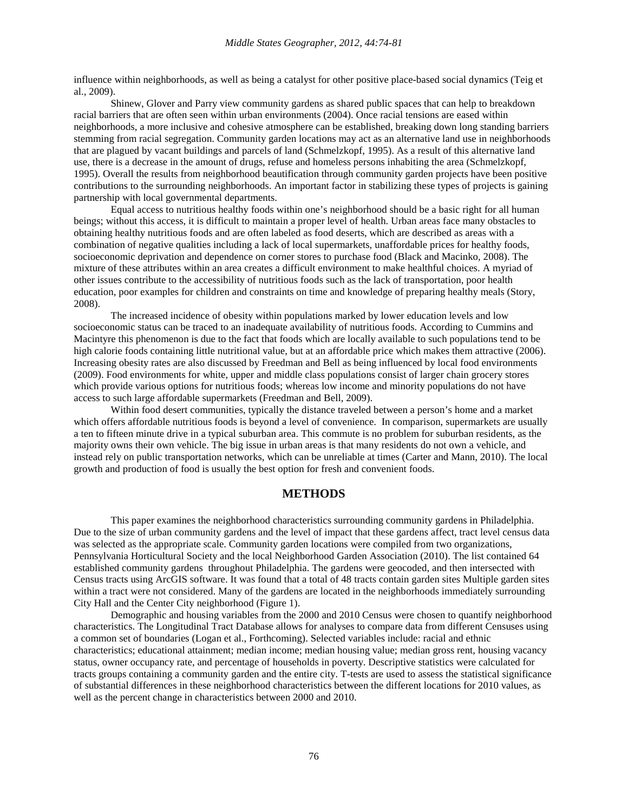influence within neighborhoods, as well as being a catalyst for other positive place-based social dynamics (Teig et al., 2009).

Shinew, Glover and Parry view community gardens as shared public spaces that can help to breakdown racial barriers that are often seen within urban environments (2004). Once racial tensions are eased within neighborhoods, a more inclusive and cohesive atmosphere can be established, breaking down long standing barriers stemming from racial segregation. Community garden locations may act as an alternative land use in neighborhoods that are plagued by vacant buildings and parcels of land (Schmelzkopf, 1995). As a result of this alternative land use, there is a decrease in the amount of drugs, refuse and homeless persons inhabiting the area (Schmelzkopf, 1995). Overall the results from neighborhood beautification through community garden projects have been positive contributions to the surrounding neighborhoods. An important factor in stabilizing these types of projects is gaining partnership with local governmental departments.

Equal access to nutritious healthy foods within one's neighborhood should be a basic right for all human beings; without this access, it is difficult to maintain a proper level of health. Urban areas face many obstacles to obtaining healthy nutritious foods and are often labeled as food deserts, which are described as areas with a combination of negative qualities including a lack of local supermarkets, unaffordable prices for healthy foods, socioeconomic deprivation and dependence on corner stores to purchase food (Black and Macinko, 2008). The mixture of these attributes within an area creates a difficult environment to make healthful choices. A myriad of other issues contribute to the accessibility of nutritious foods such as the lack of transportation, poor health education, poor examples for children and constraints on time and knowledge of preparing healthy meals (Story, 2008).

The increased incidence of obesity within populations marked by lower education levels and low socioeconomic status can be traced to an inadequate availability of nutritious foods. According to Cummins and Macintyre this phenomenon is due to the fact that foods which are locally available to such populations tend to be high calorie foods containing little nutritional value, but at an affordable price which makes them attractive (2006). Increasing obesity rates are also discussed by Freedman and Bell as being influenced by local food environments (2009). Food environments for white, upper and middle class populations consist of larger chain grocery stores which provide various options for nutritious foods; whereas low income and minority populations do not have access to such large affordable supermarkets (Freedman and Bell, 2009).

Within food desert communities, typically the distance traveled between a person's home and a market which offers affordable nutritious foods is beyond a level of convenience. In comparison, supermarkets are usually a ten to fifteen minute drive in a typical suburban area. This commute is no problem for suburban residents, as the majority owns their own vehicle. The big issue in urban areas is that many residents do not own a vehicle, and instead rely on public transportation networks, which can be unreliable at times (Carter and Mann, 2010). The local growth and production of food is usually the best option for fresh and convenient foods.

# **METHODS**

This paper examines the neighborhood characteristics surrounding community gardens in Philadelphia. Due to the size of urban community gardens and the level of impact that these gardens affect, tract level census data was selected as the appropriate scale. Community garden locations were compiled from two organizations, Pennsylvania Horticultural Society and the local Neighborhood Garden Association (2010). The list contained 64 established community gardens throughout Philadelphia. The gardens were geocoded, and then intersected with Census tracts using ArcGIS software. It was found that a total of 48 tracts contain garden sites Multiple garden sites within a tract were not considered. Many of the gardens are located in the neighborhoods immediately surrounding City Hall and the Center City neighborhood (Figure 1).

Demographic and housing variables from the 2000 and 2010 Census were chosen to quantify neighborhood characteristics. The Longitudinal Tract Database allows for analyses to compare data from different Censuses using a common set of boundaries (Logan et al., Forthcoming). Selected variables include: racial and ethnic characteristics; educational attainment; median income; median housing value; median gross rent, housing vacancy status, owner occupancy rate, and percentage of households in poverty. Descriptive statistics were calculated for tracts groups containing a community garden and the entire city. T-tests are used to assess the statistical significance of substantial differences in these neighborhood characteristics between the different locations for 2010 values, as well as the percent change in characteristics between 2000 and 2010.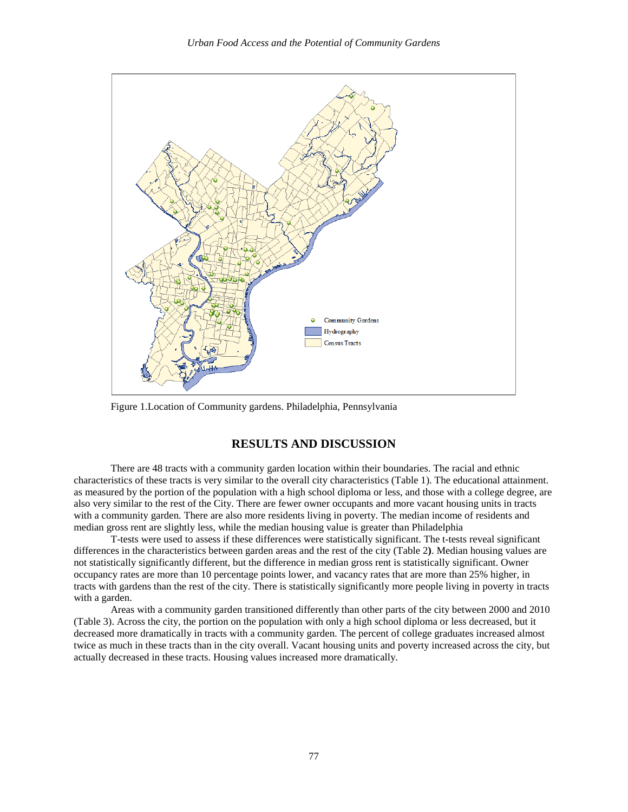

Figure 1.Location of Community gardens. Philadelphia, Pennsylvania

# **RESULTS AND DISCUSSION**

There are 48 tracts with a community garden location within their boundaries. The racial and ethnic characteristics of these tracts is very similar to the overall city characteristics (Table 1). The educational attainment. as measured by the portion of the population with a high school diploma or less, and those with a college degree, are also very similar to the rest of the City. There are fewer owner occupants and more vacant housing units in tracts with a community garden. There are also more residents living in poverty. The median income of residents and median gross rent are slightly less, while the median housing value is greater than Philadelphia

T-tests were used to assess if these differences were statistically significant. The t-tests reveal significant differences in the characteristics between garden areas and the rest of the city (Table 2**)**. Median housing values are not statistically significantly different, but the difference in median gross rent is statistically significant. Owner occupancy rates are more than 10 percentage points lower, and vacancy rates that are more than 25% higher, in tracts with gardens than the rest of the city. There is statistically significantly more people living in poverty in tracts with a garden.

Areas with a community garden transitioned differently than other parts of the city between 2000 and 2010 (Table 3). Across the city, the portion on the population with only a high school diploma or less decreased, but it decreased more dramatically in tracts with a community garden. The percent of college graduates increased almost twice as much in these tracts than in the city overall. Vacant housing units and poverty increased across the city, but actually decreased in these tracts. Housing values increased more dramatically.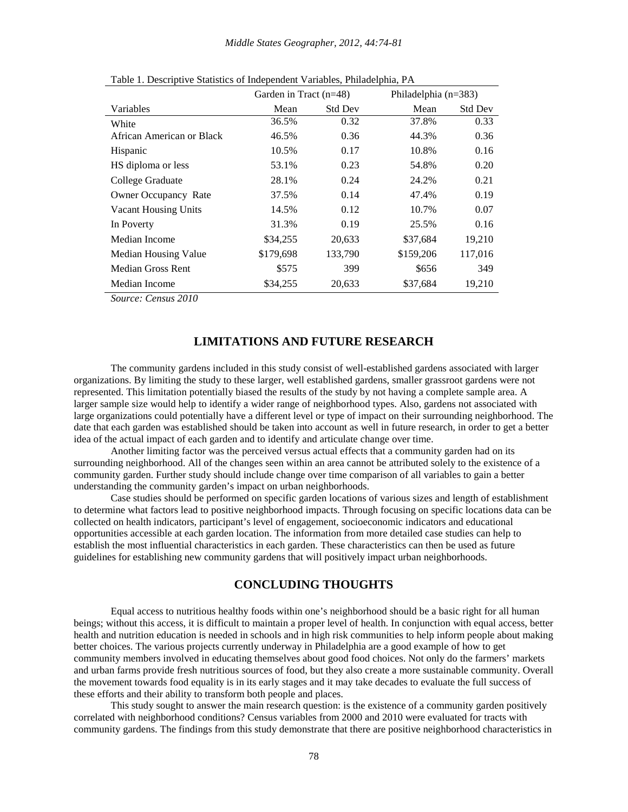|                             | Garden in Tract $(n=48)$ |                | Philadelphia $(n=383)$ |                |
|-----------------------------|--------------------------|----------------|------------------------|----------------|
| Variables                   | Mean                     | <b>Std Dev</b> | Mean                   | <b>Std Dev</b> |
| White                       | 36.5%                    | 0.32           | 37.8%                  | 0.33           |
| African American or Black   | 46.5%                    | 0.36           | 44.3%                  | 0.36           |
| Hispanic                    | 10.5%                    | 0.17           | 10.8%                  | 0.16           |
| HS diploma or less          | 53.1%                    | 0.23           | 54.8%                  | 0.20           |
| College Graduate            | 28.1%                    | 0.24           | 24.2%                  | 0.21           |
| <b>Owner Occupancy Rate</b> | 37.5%                    | 0.14           | 47.4%                  | 0.19           |
| <b>Vacant Housing Units</b> | 14.5%                    | 0.12           | 10.7%                  | 0.07           |
| In Poverty                  | 31.3%                    | 0.19           | 25.5%                  | 0.16           |
| Median Income               | \$34,255                 | 20,633         | \$37,684               | 19,210         |
| Median Housing Value        | \$179,698                | 133,790        | \$159,206              | 117,016        |
| <b>Median Gross Rent</b>    | \$575                    | 399            | \$656                  | 349            |
| Median Income               | \$34,255                 | 20,633         | \$37,684               | 19,210         |

Table 1. Descriptive Statistics of Independent Variables, Philadelphia, PA

*Source: Census 2010*

#### **LIMITATIONS AND FUTURE RESEARCH**

The community gardens included in this study consist of well-established gardens associated with larger organizations. By limiting the study to these larger, well established gardens, smaller grassroot gardens were not represented. This limitation potentially biased the results of the study by not having a complete sample area. A larger sample size would help to identify a wider range of neighborhood types. Also, gardens not associated with large organizations could potentially have a different level or type of impact on their surrounding neighborhood. The date that each garden was established should be taken into account as well in future research, in order to get a better idea of the actual impact of each garden and to identify and articulate change over time.

Another limiting factor was the perceived versus actual effects that a community garden had on its surrounding neighborhood. All of the changes seen within an area cannot be attributed solely to the existence of a community garden. Further study should include change over time comparison of all variables to gain a better understanding the community garden's impact on urban neighborhoods.

Case studies should be performed on specific garden locations of various sizes and length of establishment to determine what factors lead to positive neighborhood impacts. Through focusing on specific locations data can be collected on health indicators, participant's level of engagement, socioeconomic indicators and educational opportunities accessible at each garden location. The information from more detailed case studies can help to establish the most influential characteristics in each garden. These characteristics can then be used as future guidelines for establishing new community gardens that will positively impact urban neighborhoods.

#### **CONCLUDING THOUGHTS**

Equal access to nutritious healthy foods within one's neighborhood should be a basic right for all human beings; without this access, it is difficult to maintain a proper level of health. In conjunction with equal access, better health and nutrition education is needed in schools and in high risk communities to help inform people about making better choices. The various projects currently underway in Philadelphia are a good example of how to get community members involved in educating themselves about good food choices. Not only do the farmers' markets and urban farms provide fresh nutritious sources of food, but they also create a more sustainable community. Overall the movement towards food equality is in its early stages and it may take decades to evaluate the full success of these efforts and their ability to transform both people and places.

This study sought to answer the main research question: is the existence of a community garden positively correlated with neighborhood conditions? Census variables from 2000 and 2010 were evaluated for tracts with community gardens. The findings from this study demonstrate that there are positive neighborhood characteristics in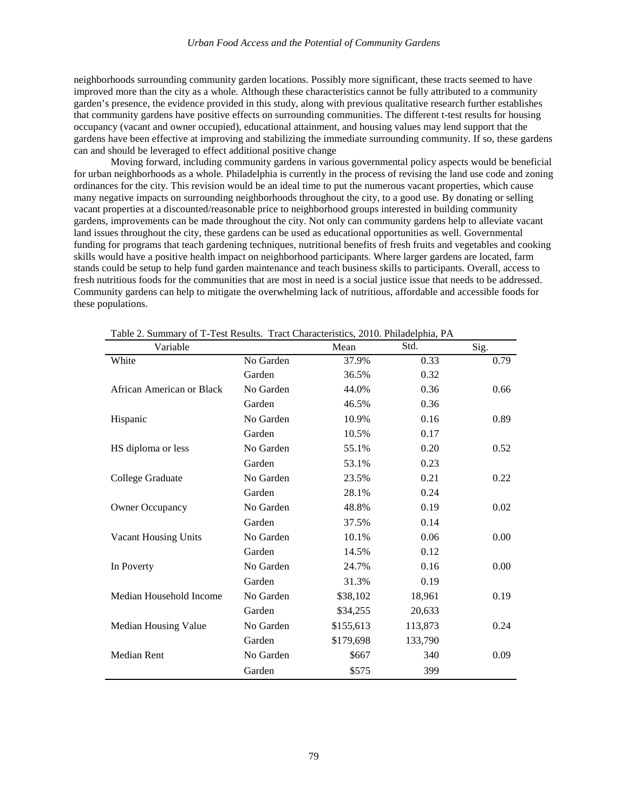neighborhoods surrounding community garden locations. Possibly more significant, these tracts seemed to have improved more than the city as a whole. Although these characteristics cannot be fully attributed to a community garden's presence, the evidence provided in this study, along with previous qualitative research further establishes that community gardens have positive effects on surrounding communities. The different t-test results for housing occupancy (vacant and owner occupied), educational attainment, and housing values may lend support that the gardens have been effective at improving and stabilizing the immediate surrounding community. If so, these gardens can and should be leveraged to effect additional positive change

Moving forward, including community gardens in various governmental policy aspects would be beneficial for urban neighborhoods as a whole. Philadelphia is currently in the process of revising the land use code and zoning ordinances for the city. This revision would be an ideal time to put the numerous vacant properties, which cause many negative impacts on surrounding neighborhoods throughout the city, to a good use. By donating or selling vacant properties at a discounted/reasonable price to neighborhood groups interested in building community gardens, improvements can be made throughout the city. Not only can community gardens help to alleviate vacant land issues throughout the city, these gardens can be used as educational opportunities as well. Governmental funding for programs that teach gardening techniques, nutritional benefits of fresh fruits and vegetables and cooking skills would have a positive health impact on neighborhood participants. Where larger gardens are located, farm stands could be setup to help fund garden maintenance and teach business skills to participants. Overall, access to fresh nutritious foods for the communities that are most in need is a social justice issue that needs to be addressed. Community gardens can help to mitigate the overwhelming lack of nutritious, affordable and accessible foods for these populations.

| Variable                    |           | Mean      | Std.    | Sig. |
|-----------------------------|-----------|-----------|---------|------|
| White                       | No Garden | 37.9%     | 0.33    | 0.79 |
|                             | Garden    | 36.5%     | 0.32    |      |
| African American or Black   | No Garden | 44.0%     | 0.36    | 0.66 |
|                             | Garden    | 46.5%     | 0.36    |      |
| Hispanic                    | No Garden | 10.9%     | 0.16    | 0.89 |
|                             | Garden    | 10.5%     | 0.17    |      |
| HS diploma or less          | No Garden | 55.1%     | 0.20    | 0.52 |
|                             | Garden    | 53.1%     | 0.23    |      |
| College Graduate            | No Garden | 23.5%     | 0.21    | 0.22 |
|                             | Garden    | 28.1%     | 0.24    |      |
| <b>Owner Occupancy</b>      | No Garden | 48.8%     | 0.19    | 0.02 |
|                             | Garden    | 37.5%     | 0.14    |      |
| <b>Vacant Housing Units</b> | No Garden | 10.1%     | 0.06    | 0.00 |
|                             | Garden    | 14.5%     | 0.12    |      |
| In Poverty                  | No Garden | 24.7%     | 0.16    | 0.00 |
|                             | Garden    | 31.3%     | 0.19    |      |
| Median Household Income     | No Garden | \$38,102  | 18,961  | 0.19 |
|                             | Garden    | \$34,255  | 20,633  |      |
| Median Housing Value        | No Garden | \$155,613 | 113,873 | 0.24 |
|                             | Garden    | \$179,698 | 133,790 |      |
| Median Rent                 | No Garden | \$667     | 340     | 0.09 |
|                             | Garden    | \$575     | 399     |      |

Table 2. Summary of T-Test Results. Tract Characteristics, 2010. Philadelphia, PA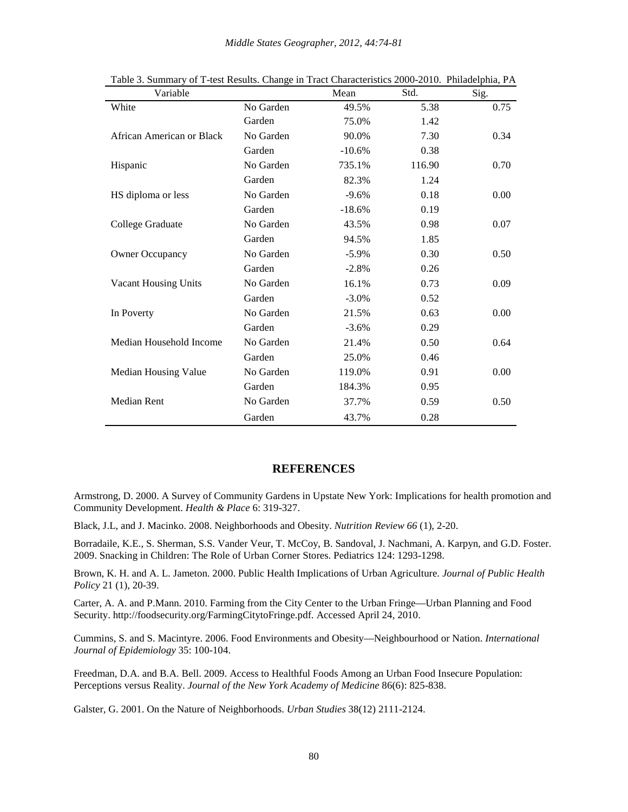| Variable                    |           | Mean     | Std.   | Sig. |
|-----------------------------|-----------|----------|--------|------|
| White                       | No Garden | 49.5%    | 5.38   | 0.75 |
|                             | Garden    | 75.0%    | 1.42   |      |
| African American or Black   | No Garden | 90.0%    | 7.30   | 0.34 |
|                             | Garden    | $-10.6%$ | 0.38   |      |
| Hispanic                    | No Garden | 735.1%   | 116.90 | 0.70 |
|                             | Garden    | 82.3%    | 1.24   |      |
| HS diploma or less          | No Garden | $-9.6%$  | 0.18   | 0.00 |
|                             | Garden    | $-18.6%$ | 0.19   |      |
| College Graduate            | No Garden | 43.5%    | 0.98   | 0.07 |
|                             | Garden    | 94.5%    | 1.85   |      |
| <b>Owner Occupancy</b>      | No Garden | $-5.9\%$ | 0.30   | 0.50 |
|                             | Garden    | $-2.8%$  | 0.26   |      |
| <b>Vacant Housing Units</b> | No Garden | 16.1%    | 0.73   | 0.09 |
|                             | Garden    | $-3.0\%$ | 0.52   |      |
| In Poverty                  | No Garden | 21.5%    | 0.63   | 0.00 |
|                             | Garden    | $-3.6%$  | 0.29   |      |
| Median Household Income     | No Garden | 21.4%    | 0.50   | 0.64 |
|                             | Garden    | 25.0%    | 0.46   |      |
| Median Housing Value        | No Garden | 119.0%   | 0.91   | 0.00 |
|                             | Garden    | 184.3%   | 0.95   |      |
| Median Rent                 | No Garden | 37.7%    | 0.59   | 0.50 |
|                             | Garden    | 43.7%    | 0.28   |      |

Table 3. Summary of T-test Results. Change in Tract Characteristics 2000-2010. Philadelphia, PA

#### **REFERENCES**

Armstrong, D. 2000. A Survey of Community Gardens in Upstate New York: Implications for health promotion and Community Development. *Health & Place* 6: 319-327.

Black, J.L, and J. Macinko. 2008. Neighborhoods and Obesity. *Nutrition Review 66* (1), 2-20.

Borradaile, K.E., S. Sherman, S.S. Vander Veur, T. McCoy, B. Sandoval, J. Nachmani, A. Karpyn, and G.D. Foster. 2009. Snacking in Children: The Role of Urban Corner Stores. Pediatrics 124: 1293-1298.

Brown, K. H. and A. L. Jameton. 2000. Public Health Implications of Urban Agriculture. *Journal of Public Health Policy* 21 (1), 20-39.

Carter, A. A. and P.Mann. 2010. Farming from the City Center to the Urban Fringe—Urban Planning and Food Security. http://foodsecurity.org/FarmingCitytoFringe.pdf. Accessed April 24, 2010.

Cummins, S. and S. Macintyre. 2006. Food Environments and Obesity—Neighbourhood or Nation. *International Journal of Epidemiology* 35: 100-104.

Freedman, D.A. and B.A. Bell. 2009. Access to Healthful Foods Among an Urban Food Insecure Population: Perceptions versus Reality. *Journal of the New York Academy of Medicine* 86(6): 825-838.

Galster, G. 2001. On the Nature of Neighborhoods. *Urban Studies* 38(12) 2111-2124.